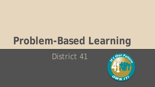# **Problem-Based Learning**

### District 41

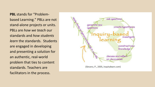**PBL** stands for "Problembased Learning." PBLs are not stand-alone projects or units. PBLs are *how we teach* our standards and *how students learn* the standards. Students are engaged in developing and presenting a solution for an authentic, real-world problem that ties to content standards. Teachers are facilitators in the process.

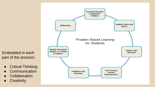Embedded in each part of the process:

- Critical Thinking
- Communication
- Collaboration
- **•** Creativity

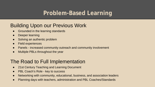#### **Problem-Based Learning**

#### Building Upon our Previous Work

- Grounded in the learning standards
- Deeper learning
- Solving an authentic problem
- Field experiences
- Panels increased community outreach and community involvement
- Multiple PBLs throughout the year

#### The Road to Full Implementation

- 21st Century Teaching and Learning Document
- PBL Coach's Role key to success
- Networking with community, educational, business, and association leaders
- Planning days with teachers, administration and PBL Coaches/Standards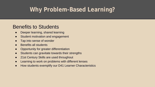### **Why Problem-Based Learning?**

#### Benefits to Students

- Deeper learning, shared learning
- Student motivation and engagement
- Tap into sense of wonder
- Benefits all students
- Opportunity for greater differentiation
- Students can gravitate towards their strengths
- 21st Century Skills are used throughout
- Learning to work on problems with different lenses
- How students exemplify our D41 Learner Characteristics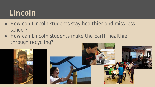## **Lincoln**

- How can Lincoln students stay healthier and miss less school?
- How can Lincoln students make the Earth healthier through recycling?

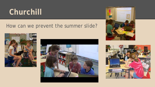### **Churchill**

#### How can we prevent the summer slide?







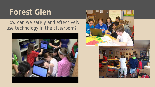### **Forest Glen**

#### How can we safely and effectively use technology in the classroom?



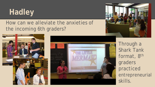# **Hadley**

#### How can we alleviate the anxieties of the incoming 6th graders?





Through a Shark Tank format, 8th graders practiced entrepreneurial skills.

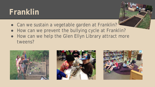### **Franklin**

- Can we sustain a vegetable garden at Franklin?
- How can we prevent the bullying cycle at Franklin?
- How can we help the Glen Ellyn Library attract more tweens?





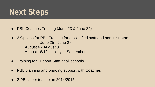### **Next Steps**

- PBL Coaches Training (June 23 & June 24)
- 3 Options for PBL Training for all certified staff and administrators June 25 - June 27 August 6 - August 8 August 18/19 + 1 day in September
- Training for Support Staff at all schools
- PBL planning and ongoing support with Coaches
- 2 PBL's per teacher in 2014/2015